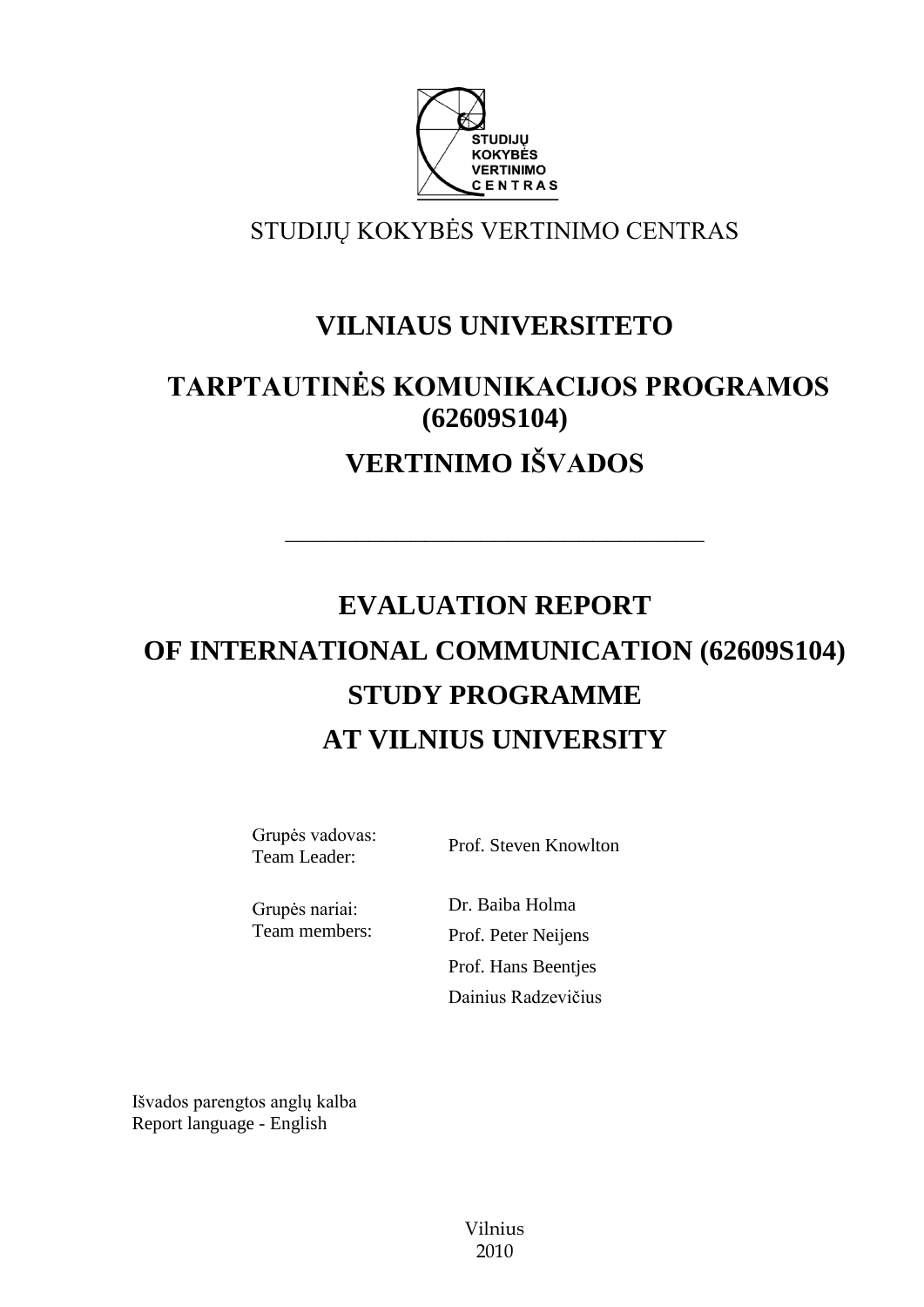

# STUDIJŲ KOKYBĖS VERTINIMO CENTRAS

# **VILNIAUS UNIVERSITETO**

# **TARPTAUTINĖS KOMUNIKACIJOS PROGRAMOS (62609S104) VERTINIMO IŠVADOS**

––––––––––––––––––––––––––––––

# **EVALUATION REPORT OF INTERNATIONAL COMMUNICATION (62609S104) STUDY PROGRAMME AT VILNIUS UNIVERSITY**

Grupės vadovas:

Surface Brof. Steven Knowlton<br>Team Leader: Prof. Steven Knowlton

Grupės nariai: Team members: Dr. Baiba Holma Prof. Peter Neijens Prof. Hans Beentjes Dainius Radzevičius

Išvados parengtos anglų kalba Report language - English

> Vilnius 2010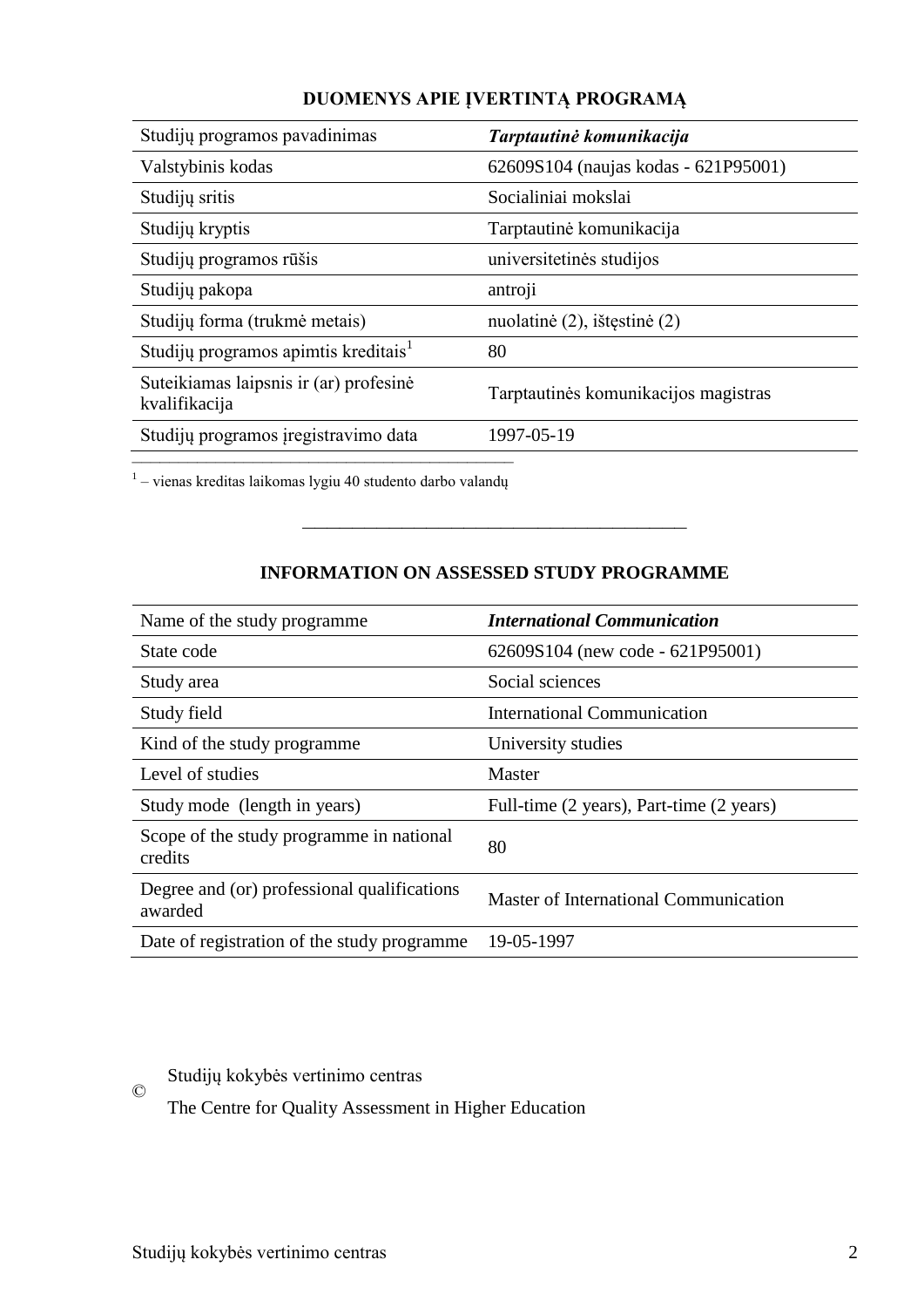| Studijų programos pavadinimas                           | Tarptautinė komunikacija             |
|---------------------------------------------------------|--------------------------------------|
| Valstybinis kodas                                       | 62609S104 (naujas kodas - 621P95001) |
| Studijų sritis                                          | Socialiniai mokslai                  |
| Studijų kryptis                                         | Tarptautinė komunikacija             |
| Studijų programos rūšis                                 | universitetinės studijos             |
| Studijų pakopa                                          | antroji                              |
| Studijų forma (trukmė metais)                           | nuolatinė (2), ištęstinė (2)         |
| Studijų programos apimtis kreditais <sup>1</sup>        | 80                                   |
| Suteikiamas laipsnis ir (ar) profesinė<br>kvalifikacija | Tarptautinės komunikacijos magistras |
| Studijų programos įregistravimo data                    | 1997-05-19                           |
|                                                         |                                      |

## **DUOMENYS APIE ĮVERTINTĄ PROGRAMĄ**

–<br><sup>1</sup> – vienas kreditas laikomas lygiu 40 studento darbo valandų

## **INFORMATION ON ASSESSED STUDY PROGRAMME**

–––––––––––––––––––––––––––––––

| Name of the study programme                            | <b>International Communication</b>       |
|--------------------------------------------------------|------------------------------------------|
| State code                                             | $62609S104$ (new code - 621P95001)       |
| Study area                                             | Social sciences                          |
| Study field                                            | International Communication              |
| Kind of the study programme.                           | University studies                       |
| Level of studies                                       | Master                                   |
| Study mode (length in years)                           | Full-time (2 years), Part-time (2 years) |
| Scope of the study programme in national<br>credits    | 80                                       |
| Degree and (or) professional qualifications<br>awarded | Master of International Communication    |
| Date of registration of the study programme            | 19-05-1997                               |

# Studijų kokybės vertinimo centras

 $\odot$ 

The Centre for Quality Assessment in Higher Education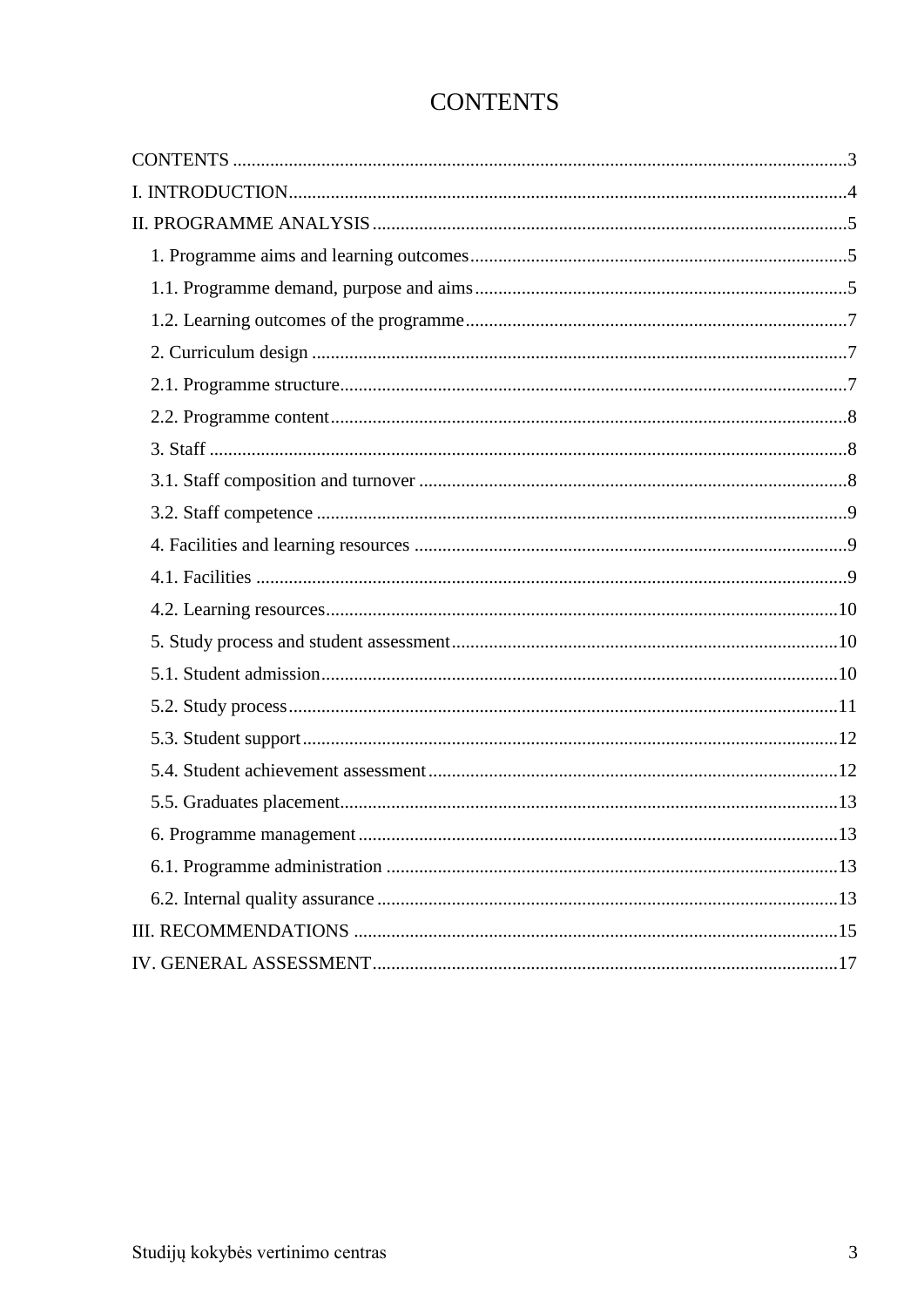<span id="page-2-0"></span>

| UUN LEN LO |  |
|------------|--|
|            |  |
|            |  |
|            |  |

# CONTENTS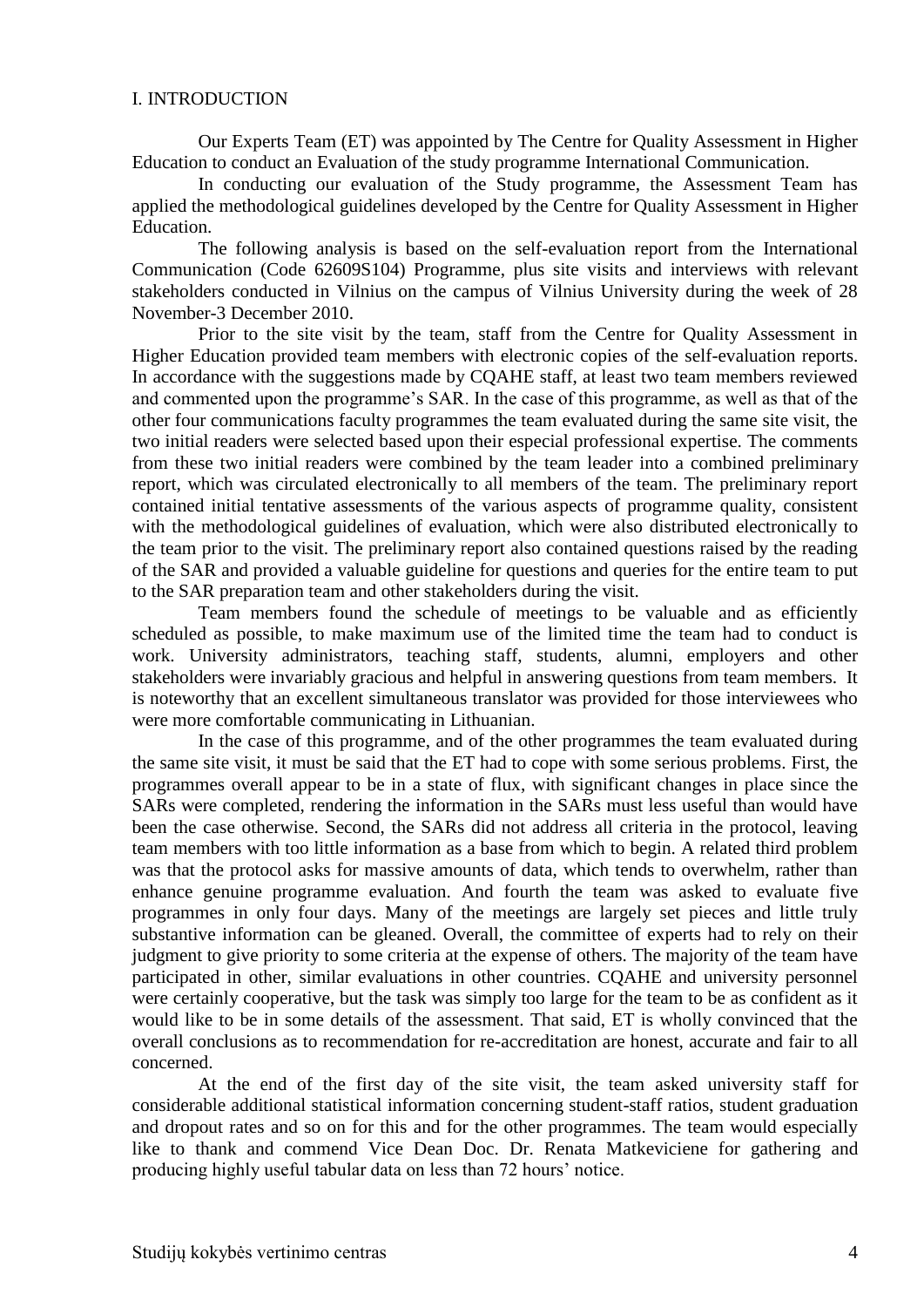#### <span id="page-3-0"></span>I. INTRODUCTION

Our Experts Team (ET) was appointed by The Centre for Quality Assessment in Higher Education to conduct an Evaluation of the study programme International Communication.

In conducting our evaluation of the Study programme, the Assessment Team has applied the methodological guidelines developed by the Centre for Quality Assessment in Higher Education.

The following analysis is based on the self-evaluation report from the International Communication (Code 62609S104) Programme, plus site visits and interviews with relevant stakeholders conducted in Vilnius on the campus of Vilnius University during the week of 28 November-3 December 2010.

Prior to the site visit by the team, staff from the Centre for Quality Assessment in Higher Education provided team members with electronic copies of the self-evaluation reports. In accordance with the suggestions made by CQAHE staff, at least two team members reviewed and commented upon the programme's SAR. In the case of this programme, as well as that of the other four communications faculty programmes the team evaluated during the same site visit, the two initial readers were selected based upon their especial professional expertise. The comments from these two initial readers were combined by the team leader into a combined preliminary report, which was circulated electronically to all members of the team. The preliminary report contained initial tentative assessments of the various aspects of programme quality, consistent with the methodological guidelines of evaluation, which were also distributed electronically to the team prior to the visit. The preliminary report also contained questions raised by the reading of the SAR and provided a valuable guideline for questions and queries for the entire team to put to the SAR preparation team and other stakeholders during the visit.

Team members found the schedule of meetings to be valuable and as efficiently scheduled as possible, to make maximum use of the limited time the team had to conduct is work. University administrators, teaching staff, students, alumni, employers and other stakeholders were invariably gracious and helpful in answering questions from team members. It is noteworthy that an excellent simultaneous translator was provided for those interviewees who were more comfortable communicating in Lithuanian.

In the case of this programme, and of the other programmes the team evaluated during the same site visit, it must be said that the ET had to cope with some serious problems. First, the programmes overall appear to be in a state of flux, with significant changes in place since the SARs were completed, rendering the information in the SARs must less useful than would have been the case otherwise. Second, the SARs did not address all criteria in the protocol, leaving team members with too little information as a base from which to begin. A related third problem was that the protocol asks for massive amounts of data, which tends to overwhelm, rather than enhance genuine programme evaluation. And fourth the team was asked to evaluate five programmes in only four days. Many of the meetings are largely set pieces and little truly substantive information can be gleaned. Overall, the committee of experts had to rely on their judgment to give priority to some criteria at the expense of others. The majority of the team have participated in other, similar evaluations in other countries. CQAHE and university personnel were certainly cooperative, but the task was simply too large for the team to be as confident as it would like to be in some details of the assessment. That said, ET is wholly convinced that the overall conclusions as to recommendation for re-accreditation are honest, accurate and fair to all concerned.

At the end of the first day of the site visit, the team asked university staff for considerable additional statistical information concerning student-staff ratios, student graduation and dropout rates and so on for this and for the other programmes. The team would especially like to thank and commend Vice Dean Doc. Dr. Renata Matkeviciene for gathering and producing highly useful tabular data on less than 72 hours' notice.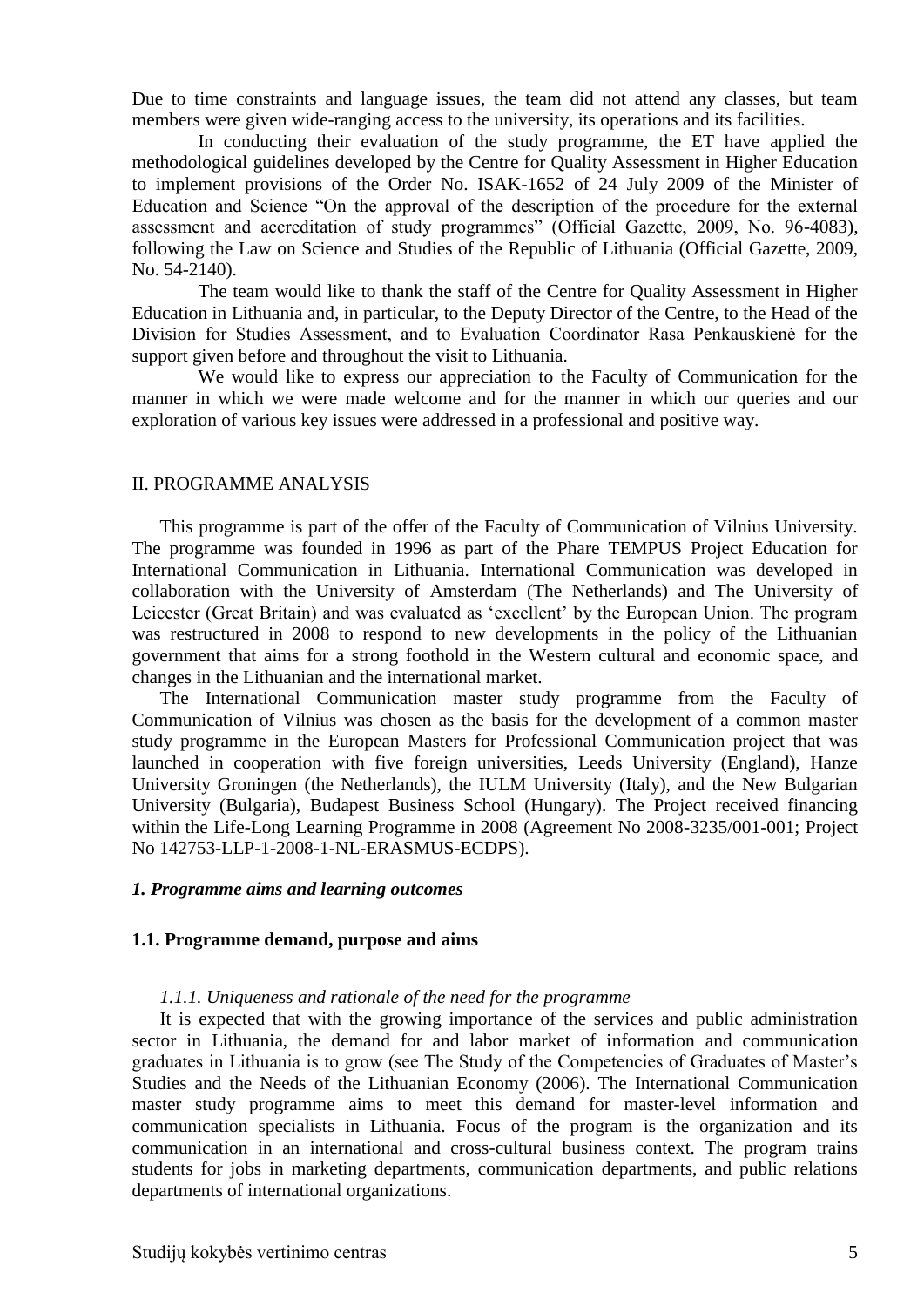Due to time constraints and language issues, the team did not attend any classes, but team members were given wide-ranging access to the university, its operations and its facilities.

In conducting their evaluation of the study programme, the ET have applied the methodological guidelines developed by the Centre for Quality Assessment in Higher Education to implement provisions of the Order No. ISAK-1652 of 24 July 2009 of the Minister of Education and Science "On the approval of the description of the procedure for the external assessment and accreditation of study programmes" (Official Gazette, 2009, No. 96-4083), following the Law on Science and Studies of the Republic of Lithuania (Official Gazette, 2009, No. 54-2140).

The team would like to thank the staff of the Centre for Quality Assessment in Higher Education in Lithuania and, in particular, to the Deputy Director of the Centre, to the Head of the Division for Studies Assessment, and to Evaluation Coordinator Rasa Penkauskienė for the support given before and throughout the visit to Lithuania.

We would like to express our appreciation to the Faculty of Communication for the manner in which we were made welcome and for the manner in which our queries and our exploration of various key issues were addressed in a professional and positive way.

#### <span id="page-4-0"></span>II. PROGRAMME ANALYSIS

This programme is part of the offer of the Faculty of Communication of Vilnius University. The programme was founded in 1996 as part of the Phare TEMPUS Project Education for International Communication in Lithuania. International Communication was developed in collaboration with the University of Amsterdam (The Netherlands) and The University of Leicester (Great Britain) and was evaluated as 'excellent' by the European Union. The program was restructured in 2008 to respond to new developments in the policy of the Lithuanian government that aims for a strong foothold in the Western cultural and economic space, and changes in the Lithuanian and the international market.

The International Communication master study programme from the Faculty of Communication of Vilnius was chosen as the basis for the development of a common master study programme in the European Masters for Professional Communication project that was launched in cooperation with five foreign universities, Leeds University (England), Hanze University Groningen (the Netherlands), the IULM University (Italy), and the New Bulgarian University (Bulgaria), Budapest Business School (Hungary). The Project received financing within the Life-Long Learning Programme in 2008 (Agreement No 2008-3235/001-001; Project No 142753-LLP-1-2008-1-NL-ERASMUS-ECDPS).

#### <span id="page-4-1"></span>*1. Programme aims and learning outcomes*

#### <span id="page-4-2"></span>**1.1. Programme demand, purpose and aims**

#### *1.1.1. Uniqueness and rationale of the need for the programme*

It is expected that with the growing importance of the services and public administration sector in Lithuania, the demand for and labor market of information and communication graduates in Lithuania is to grow (see The Study of the Competencies of Graduates of Master's Studies and the Needs of the Lithuanian Economy (2006). The International Communication master study programme aims to meet this demand for master-level information and communication specialists in Lithuania. Focus of the program is the organization and its communication in an international and cross-cultural business context. The program trains students for jobs in marketing departments, communication departments, and public relations departments of international organizations.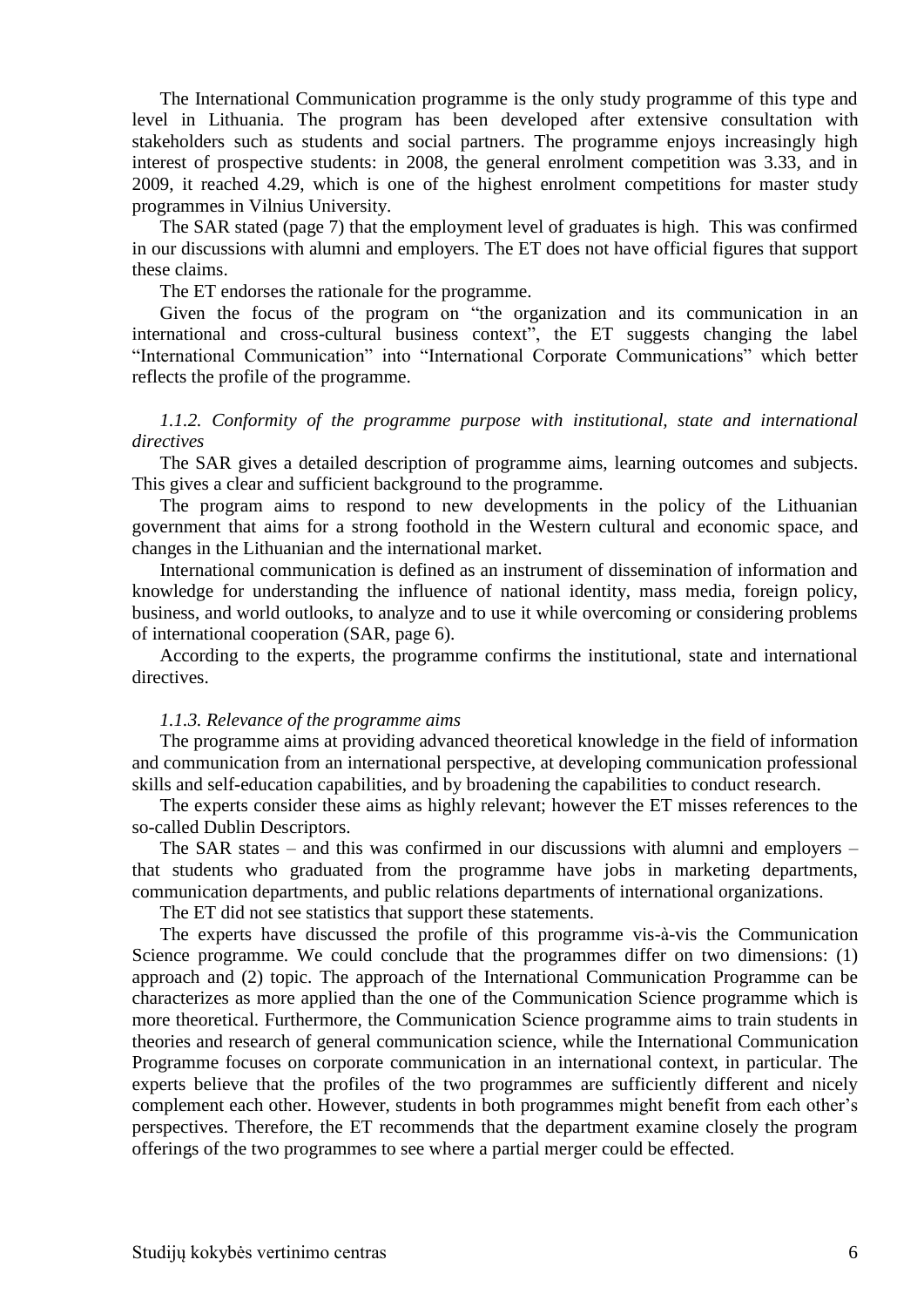The International Communication programme is the only study programme of this type and level in Lithuania. The program has been developed after extensive consultation with stakeholders such as students and social partners. The programme enjoys increasingly high interest of prospective students: in 2008, the general enrolment competition was 3.33, and in 2009, it reached 4.29, which is one of the highest enrolment competitions for master study programmes in Vilnius University.

The SAR stated (page 7) that the employment level of graduates is high. This was confirmed in our discussions with alumni and employers. The ET does not have official figures that support these claims.

The ET endorses the rationale for the programme.

Given the focus of the program on "the organization and its communication in an international and cross-cultural business context", the ET suggests changing the label "International Communication" into "International Corporate Communications" which better reflects the profile of the programme.

## *1.1.2. Conformity of the programme purpose with institutional, state and international directives*

The SAR gives a detailed description of programme aims, learning outcomes and subjects. This gives a clear and sufficient background to the programme.

The program aims to respond to new developments in the policy of the Lithuanian government that aims for a strong foothold in the Western cultural and economic space, and changes in the Lithuanian and the international market.

International communication is defined as an instrument of dissemination of information and knowledge for understanding the influence of national identity, mass media, foreign policy, business, and world outlooks, to analyze and to use it while overcoming or considering problems of international cooperation (SAR, page 6).

According to the experts, the programme confirms the institutional, state and international directives.

#### *1.1.3. Relevance of the programme aims*

The programme aims at providing advanced theoretical knowledge in the field of information and communication from an international perspective, at developing communication professional skills and self-education capabilities, and by broadening the capabilities to conduct research.

The experts consider these aims as highly relevant; however the ET misses references to the so-called Dublin Descriptors.

The SAR states – and this was confirmed in our discussions with alumni and employers – that students who graduated from the programme have jobs in marketing departments, communication departments, and public relations departments of international organizations.

The ET did not see statistics that support these statements.

The experts have discussed the profile of this programme vis-à-vis the Communication Science programme. We could conclude that the programmes differ on two dimensions: (1) approach and (2) topic. The approach of the International Communication Programme can be characterizes as more applied than the one of the Communication Science programme which is more theoretical. Furthermore, the Communication Science programme aims to train students in theories and research of general communication science, while the International Communication Programme focuses on corporate communication in an international context, in particular. The experts believe that the profiles of the two programmes are sufficiently different and nicely complement each other. However, students in both programmes might benefit from each other's perspectives. Therefore, the ET recommends that the department examine closely the program offerings of the two programmes to see where a partial merger could be effected.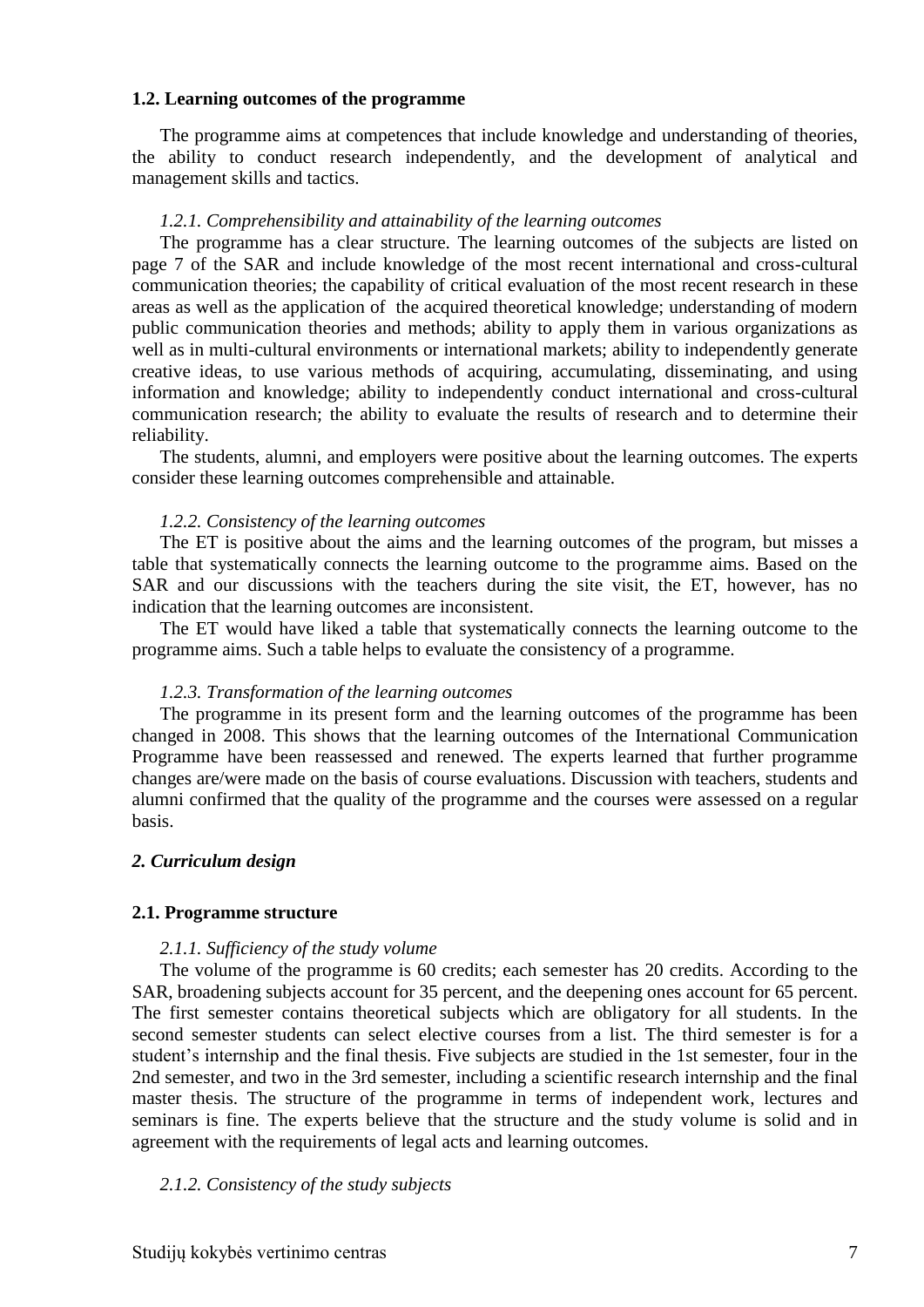#### <span id="page-6-0"></span>**1.2. Learning outcomes of the programme**

The programme aims at competences that include knowledge and understanding of theories, the ability to conduct research independently, and the development of analytical and management skills and tactics.

#### *1.2.1. Comprehensibility and attainability of the learning outcomes*

The programme has a clear structure. The learning outcomes of the subjects are listed on page 7 of the SAR and include knowledge of the most recent international and cross-cultural communication theories; the capability of critical evaluation of the most recent research in these areas as well as the application of the acquired theoretical knowledge; understanding of modern public communication theories and methods; ability to apply them in various organizations as well as in multi-cultural environments or international markets; ability to independently generate creative ideas, to use various methods of acquiring, accumulating, disseminating, and using information and knowledge; ability to independently conduct international and cross-cultural communication research; the ability to evaluate the results of research and to determine their reliability.

The students, alumni, and employers were positive about the learning outcomes. The experts consider these learning outcomes comprehensible and attainable.

#### *1.2.2. Consistency of the learning outcomes*

The ET is positive about the aims and the learning outcomes of the program, but misses a table that systematically connects the learning outcome to the programme aims. Based on the SAR and our discussions with the teachers during the site visit, the ET, however, has no indication that the learning outcomes are inconsistent.

The ET would have liked a table that systematically connects the learning outcome to the programme aims. Such a table helps to evaluate the consistency of a programme.

#### *1.2.3. Transformation of the learning outcomes*

The programme in its present form and the learning outcomes of the programme has been changed in 2008. This shows that the learning outcomes of the International Communication Programme have been reassessed and renewed. The experts learned that further programme changes are/were made on the basis of course evaluations. Discussion with teachers, students and alumni confirmed that the quality of the programme and the courses were assessed on a regular basis.

#### <span id="page-6-1"></span>*2. Curriculum design*

#### <span id="page-6-2"></span>**2.1. Programme structure**

#### *2.1.1. Sufficiency of the study volume*

The volume of the programme is 60 credits; each semester has 20 credits. According to the SAR, broadening subjects account for 35 percent, and the deepening ones account for 65 percent. The first semester contains theoretical subjects which are obligatory for all students. In the second semester students can select elective courses from a list. The third semester is for a student's internship and the final thesis. Five subjects are studied in the 1st semester, four in the 2nd semester, and two in the 3rd semester, including a scientific research internship and the final master thesis. The structure of the programme in terms of independent work, lectures and seminars is fine. The experts believe that the structure and the study volume is solid and in agreement with the requirements of legal acts and learning outcomes.

#### *2.1.2. Consistency of the study subjects*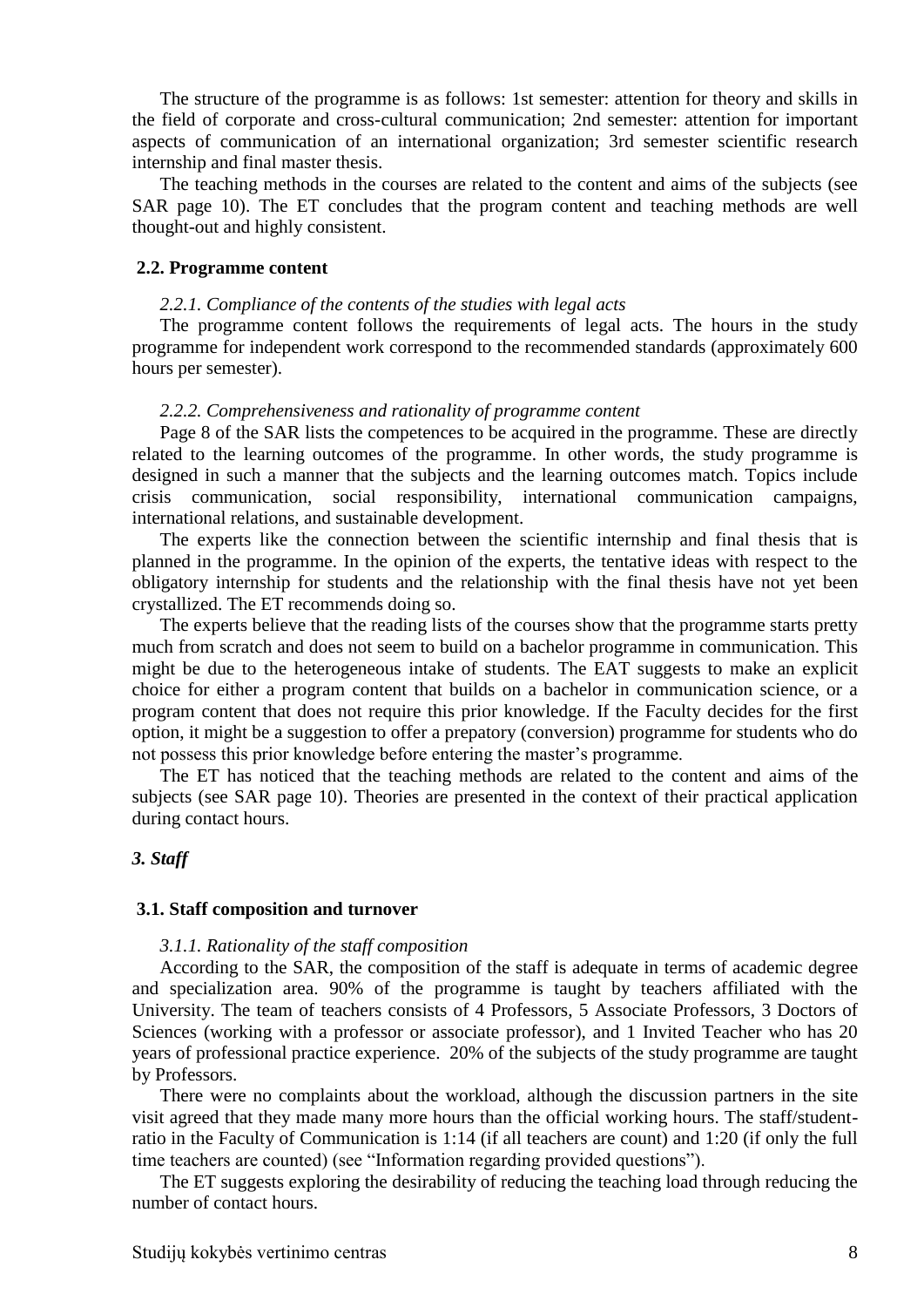The structure of the programme is as follows: 1st semester: attention for theory and skills in the field of corporate and cross-cultural communication; 2nd semester: attention for important aspects of communication of an international organization; 3rd semester scientific research internship and final master thesis.

The teaching methods in the courses are related to the content and aims of the subjects (see SAR page 10). The ET concludes that the program content and teaching methods are well thought-out and highly consistent.

#### <span id="page-7-0"></span>**2.2. Programme content**

#### *2.2.1. Compliance of the contents of the studies with legal acts*

The programme content follows the requirements of legal acts. The hours in the study programme for independent work correspond to the recommended standards (approximately 600 hours per semester).

#### *2.2.2. Comprehensiveness and rationality of programme content*

Page 8 of the SAR lists the competences to be acquired in the programme. These are directly related to the learning outcomes of the programme. In other words, the study programme is designed in such a manner that the subjects and the learning outcomes match. Topics include crisis communication, social responsibility, international communication campaigns, international relations, and sustainable development.

The experts like the connection between the scientific internship and final thesis that is planned in the programme. In the opinion of the experts, the tentative ideas with respect to the obligatory internship for students and the relationship with the final thesis have not yet been crystallized. The ET recommends doing so.

The experts believe that the reading lists of the courses show that the programme starts pretty much from scratch and does not seem to build on a bachelor programme in communication. This might be due to the heterogeneous intake of students. The EAT suggests to make an explicit choice for either a program content that builds on a bachelor in communication science, or a program content that does not require this prior knowledge. If the Faculty decides for the first option, it might be a suggestion to offer a prepatory (conversion) programme for students who do not possess this prior knowledge before entering the master's programme.

The ET has noticed that the teaching methods are related to the content and aims of the subjects (see SAR page 10). Theories are presented in the context of their practical application during contact hours.

#### <span id="page-7-1"></span>*3. Staff*

#### <span id="page-7-2"></span>**3.1. Staff composition and turnover**

#### *3.1.1. Rationality of the staff composition*

According to the SAR, the composition of the staff is adequate in terms of academic degree and specialization area. 90% of the programme is taught by teachers affiliated with the University. The team of teachers consists of 4 Professors, 5 Associate Professors, 3 Doctors of Sciences (working with a professor or associate professor), and 1 Invited Teacher who has 20 years of professional practice experience. 20% of the subjects of the study programme are taught by Professors.

There were no complaints about the workload, although the discussion partners in the site visit agreed that they made many more hours than the official working hours. The staff/studentratio in the Faculty of Communication is 1:14 (if all teachers are count) and 1:20 (if only the full time teachers are counted) (see "Information regarding provided questions").

The ET suggests exploring the desirability of reducing the teaching load through reducing the number of contact hours.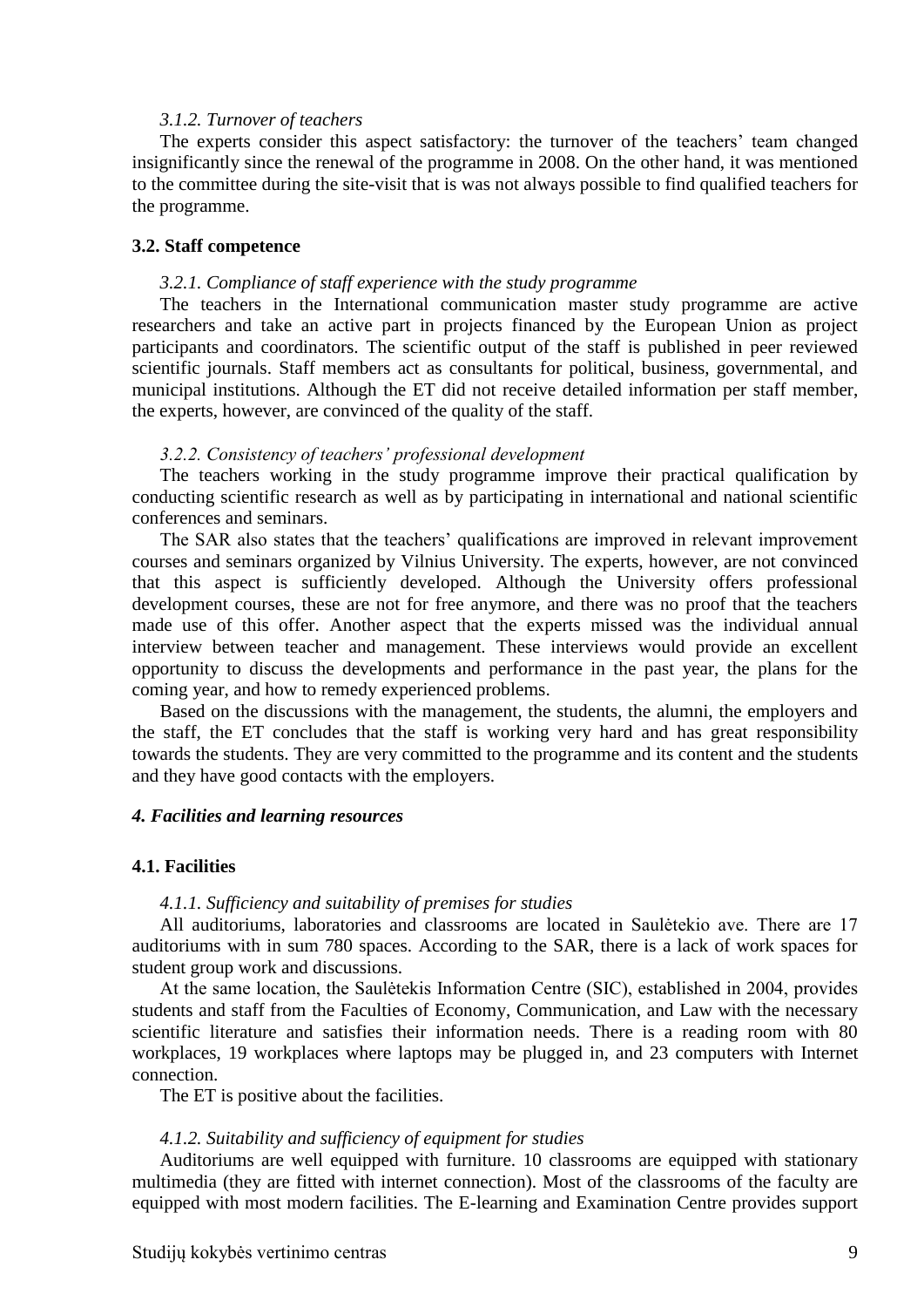#### *3.1.2. Turnover of teachers*

The experts consider this aspect satisfactory: the turnover of the teachers' team changed insignificantly since the renewal of the programme in 2008. On the other hand, it was mentioned to the committee during the site-visit that is was not always possible to find qualified teachers for the programme.

#### <span id="page-8-0"></span>**3.2. Staff competence**

#### *3.2.1. Compliance of staff experience with the study programme*

The teachers in the International communication master study programme are active researchers and take an active part in projects financed by the European Union as project participants and coordinators. The scientific output of the staff is published in peer reviewed scientific journals. Staff members act as consultants for political, business, governmental, and municipal institutions. Although the ET did not receive detailed information per staff member, the experts, however, are convinced of the quality of the staff.

#### *3.2.2. Consistency of teachers' professional development*

The teachers working in the study programme improve their practical qualification by conducting scientific research as well as by participating in international and national scientific conferences and seminars.

The SAR also states that the teachers' qualifications are improved in relevant improvement courses and seminars organized by Vilnius University. The experts, however, are not convinced that this aspect is sufficiently developed. Although the University offers professional development courses, these are not for free anymore, and there was no proof that the teachers made use of this offer. Another aspect that the experts missed was the individual annual interview between teacher and management. These interviews would provide an excellent opportunity to discuss the developments and performance in the past year, the plans for the coming year, and how to remedy experienced problems.

Based on the discussions with the management, the students, the alumni, the employers and the staff, the ET concludes that the staff is working very hard and has great responsibility towards the students. They are very committed to the programme and its content and the students and they have good contacts with the employers.

#### <span id="page-8-1"></span>*4. Facilities and learning resources*

#### <span id="page-8-2"></span>**4.1. Facilities**

#### *4.1.1. Sufficiency and suitability of premises for studies*

All auditoriums, laboratories and classrooms are located in Saulėtekio ave. There are 17 auditoriums with in sum 780 spaces. According to the SAR, there is a lack of work spaces for student group work and discussions.

At the same location, the Saulėtekis Information Centre (SIC), established in 2004, provides students and staff from the Faculties of Economy, Communication, and Law with the necessary scientific literature and satisfies their information needs. There is a reading room with 80 workplaces, 19 workplaces where laptops may be plugged in, and 23 computers with Internet connection.

The ET is positive about the facilities.

#### *4.1.2. Suitability and sufficiency of equipment for studies*

Auditoriums are well equipped with furniture. 10 classrooms are equipped with stationary multimedia (they are fitted with internet connection). Most of the classrooms of the faculty are equipped with most modern facilities. The E-learning and Examination Centre provides support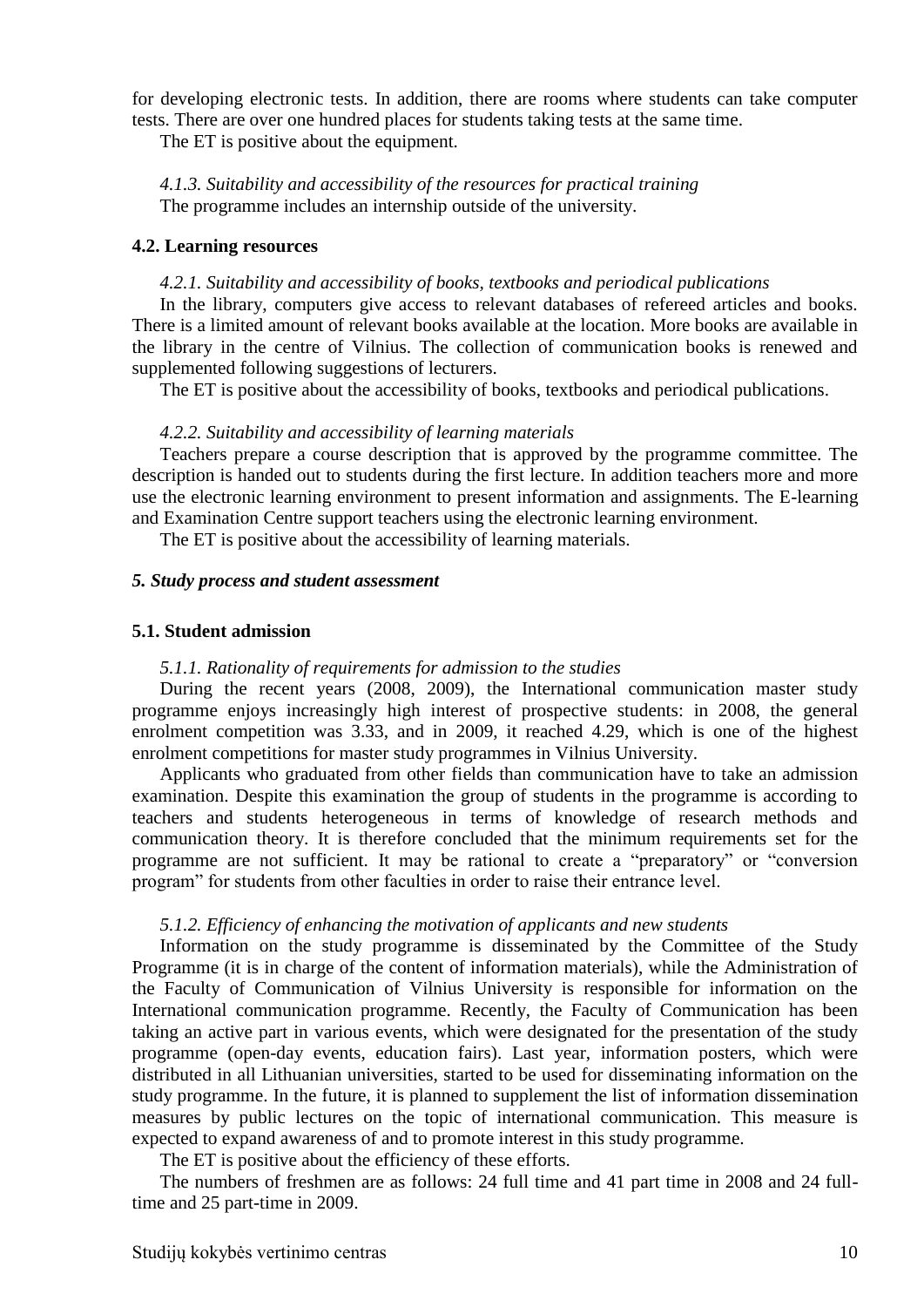for developing electronic tests. In addition, there are rooms where students can take computer tests. There are over one hundred places for students taking tests at the same time.

The ET is positive about the equipment.

*4.1.3. Suitability and accessibility of the resources for practical training* The programme includes an internship outside of the university.

#### <span id="page-9-0"></span>**4.2. Learning resources**

#### *4.2.1. Suitability and accessibility of books, textbooks and periodical publications*

In the library, computers give access to relevant databases of refereed articles and books. There is a limited amount of relevant books available at the location. More books are available in the library in the centre of Vilnius. The collection of communication books is renewed and supplemented following suggestions of lecturers.

The ET is positive about the accessibility of books, textbooks and periodical publications.

#### *4.2.2. Suitability and accessibility of learning materials*

Teachers prepare a course description that is approved by the programme committee. The description is handed out to students during the first lecture. In addition teachers more and more use the electronic learning environment to present information and assignments. The E-learning and Examination Centre support teachers using the electronic learning environment.

The ET is positive about the accessibility of learning materials.

#### <span id="page-9-1"></span>*5. Study process and student assessment*

#### <span id="page-9-2"></span>**5.1. Student admission**

#### *5.1.1. Rationality of requirements for admission to the studies*

During the recent years (2008, 2009), the International communication master study programme enjoys increasingly high interest of prospective students: in 2008, the general enrolment competition was 3.33, and in 2009, it reached 4.29, which is one of the highest enrolment competitions for master study programmes in Vilnius University.

Applicants who graduated from other fields than communication have to take an admission examination. Despite this examination the group of students in the programme is according to teachers and students heterogeneous in terms of knowledge of research methods and communication theory. It is therefore concluded that the minimum requirements set for the programme are not sufficient. It may be rational to create a "preparatory" or "conversion program" for students from other faculties in order to raise their entrance level.

#### *5.1.2. Efficiency of enhancing the motivation of applicants and new students*

Information on the study programme is disseminated by the Committee of the Study Programme (it is in charge of the content of information materials), while the Administration of the Faculty of Communication of Vilnius University is responsible for information on the International communication programme. Recently, the Faculty of Communication has been taking an active part in various events, which were designated for the presentation of the study programme (open-day events, education fairs). Last year, information posters, which were distributed in all Lithuanian universities, started to be used for disseminating information on the study programme. In the future, it is planned to supplement the list of information dissemination measures by public lectures on the topic of international communication. This measure is expected to expand awareness of and to promote interest in this study programme.

The ET is positive about the efficiency of these efforts.

The numbers of freshmen are as follows: 24 full time and 41 part time in 2008 and 24 fulltime and 25 part-time in 2009.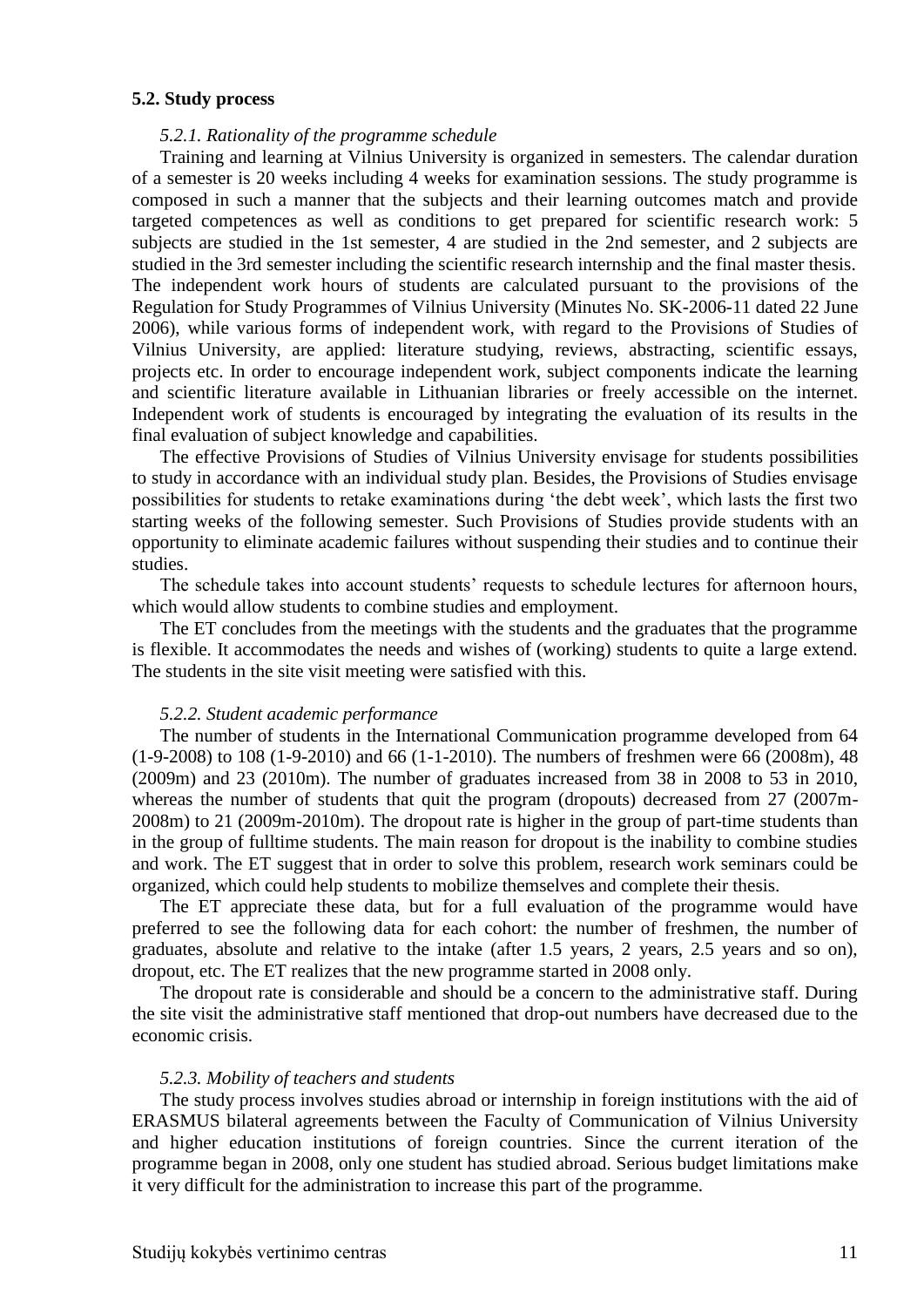#### <span id="page-10-0"></span>**5.2. Study process**

#### *5.2.1. Rationality of the programme schedule*

Training and learning at Vilnius University is organized in semesters. The calendar duration of a semester is 20 weeks including 4 weeks for examination sessions. The study programme is composed in such a manner that the subjects and their learning outcomes match and provide targeted competences as well as conditions to get prepared for scientific research work: 5 subjects are studied in the 1st semester, 4 are studied in the 2nd semester, and 2 subjects are studied in the 3rd semester including the scientific research internship and the final master thesis. The independent work hours of students are calculated pursuant to the provisions of the Regulation for Study Programmes of Vilnius University (Minutes No. SK-2006-11 dated 22 June 2006), while various forms of independent work, with regard to the Provisions of Studies of Vilnius University, are applied: literature studying, reviews, abstracting, scientific essays, projects etc. In order to encourage independent work, subject components indicate the learning and scientific literature available in Lithuanian libraries or freely accessible on the internet. Independent work of students is encouraged by integrating the evaluation of its results in the final evaluation of subject knowledge and capabilities.

The effective Provisions of Studies of Vilnius University envisage for students possibilities to study in accordance with an individual study plan. Besides, the Provisions of Studies envisage possibilities for students to retake examinations during 'the debt week', which lasts the first two starting weeks of the following semester. Such Provisions of Studies provide students with an opportunity to eliminate academic failures without suspending their studies and to continue their studies.

The schedule takes into account students' requests to schedule lectures for afternoon hours, which would allow students to combine studies and employment.

The ET concludes from the meetings with the students and the graduates that the programme is flexible. It accommodates the needs and wishes of (working) students to quite a large extend. The students in the site visit meeting were satisfied with this.

#### *5.2.2. Student academic performance*

The number of students in the International Communication programme developed from 64 (1-9-2008) to 108 (1-9-2010) and 66 (1-1-2010). The numbers of freshmen were 66 (2008m), 48 (2009m) and 23 (2010m). The number of graduates increased from 38 in 2008 to 53 in 2010, whereas the number of students that quit the program (dropouts) decreased from 27 (2007m-2008m) to 21 (2009m-2010m). The dropout rate is higher in the group of part-time students than in the group of fulltime students. The main reason for dropout is the inability to combine studies and work. The ET suggest that in order to solve this problem, research work seminars could be organized, which could help students to mobilize themselves and complete their thesis.

The ET appreciate these data, but for a full evaluation of the programme would have preferred to see the following data for each cohort: the number of freshmen, the number of graduates, absolute and relative to the intake (after 1.5 years, 2 years, 2.5 years and so on), dropout, etc. The ET realizes that the new programme started in 2008 only.

The dropout rate is considerable and should be a concern to the administrative staff. During the site visit the administrative staff mentioned that drop-out numbers have decreased due to the economic crisis.

#### *5.2.3. Mobility of teachers and students*

The study process involves studies abroad or internship in foreign institutions with the aid of ERASMUS bilateral agreements between the Faculty of Communication of Vilnius University and higher education institutions of foreign countries. Since the current iteration of the programme began in 2008, only one student has studied abroad. Serious budget limitations make it very difficult for the administration to increase this part of the programme.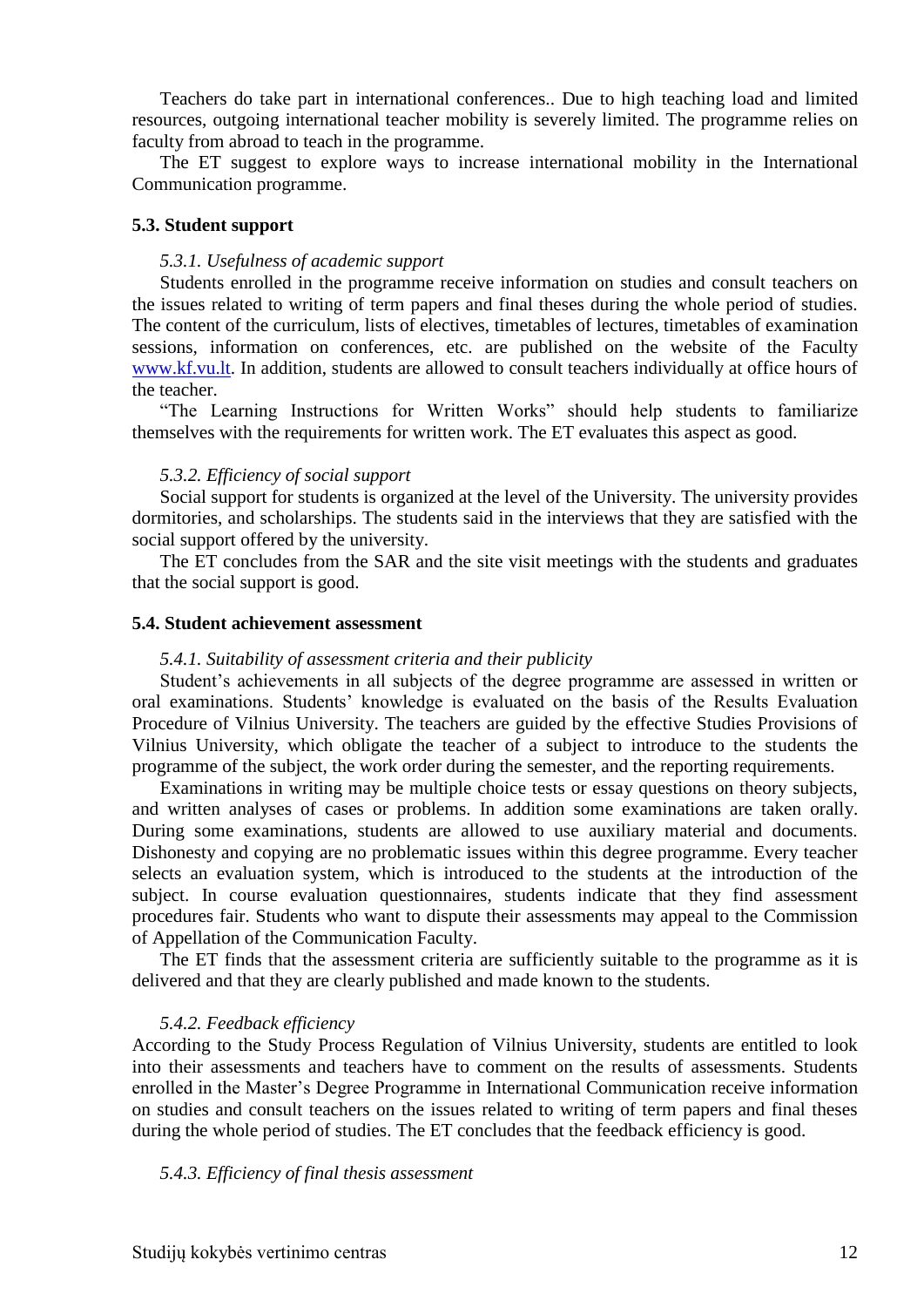Teachers do take part in international conferences.. Due to high teaching load and limited resources, outgoing international teacher mobility is severely limited. The programme relies on faculty from abroad to teach in the programme.

The ET suggest to explore ways to increase international mobility in the International Communication programme.

#### <span id="page-11-0"></span>**5.3. Student support**

#### *5.3.1. Usefulness of academic support*

Students enrolled in the programme receive information on studies and consult teachers on the issues related to writing of term papers and final theses during the whole period of studies. The content of the curriculum, lists of electives, timetables of lectures, timetables of examination sessions, information on conferences, etc. are published on the website of the Faculty [www.kf.vu.lt.](http://www.kf.vu.lt/) In addition, students are allowed to consult teachers individually at office hours of the teacher.

"The Learning Instructions for Written Works" should help students to familiarize themselves with the requirements for written work. The ET evaluates this aspect as good.

#### *5.3.2. Efficiency of social support*

Social support for students is organized at the level of the University. The university provides dormitories, and scholarships. The students said in the interviews that they are satisfied with the social support offered by the university.

The ET concludes from the SAR and the site visit meetings with the students and graduates that the social support is good.

#### <span id="page-11-1"></span>**5.4. Student achievement assessment**

#### *5.4.1. Suitability of assessment criteria and their publicity*

Student's achievements in all subjects of the degree programme are assessed in written or oral examinations. Students' knowledge is evaluated on the basis of the Results Evaluation Procedure of Vilnius University. The teachers are guided by the effective Studies Provisions of Vilnius University, which obligate the teacher of a subject to introduce to the students the programme of the subject, the work order during the semester, and the reporting requirements.

Examinations in writing may be multiple choice tests or essay questions on theory subjects, and written analyses of cases or problems. In addition some examinations are taken orally. During some examinations, students are allowed to use auxiliary material and documents. Dishonesty and copying are no problematic issues within this degree programme. Every teacher selects an evaluation system, which is introduced to the students at the introduction of the subject. In course evaluation questionnaires, students indicate that they find assessment procedures fair. Students who want to dispute their assessments may appeal to the Commission of Appellation of the Communication Faculty.

The ET finds that the assessment criteria are sufficiently suitable to the programme as it is delivered and that they are clearly published and made known to the students.

### *5.4.2. Feedback efficiency*

According to the Study Process Regulation of Vilnius University, students are entitled to look into their assessments and teachers have to comment on the results of assessments. Students enrolled in the Master's Degree Programme in International Communication receive information on studies and consult teachers on the issues related to writing of term papers and final theses during the whole period of studies. The ET concludes that the feedback efficiency is good.

#### *5.4.3. Efficiency of final thesis assessment*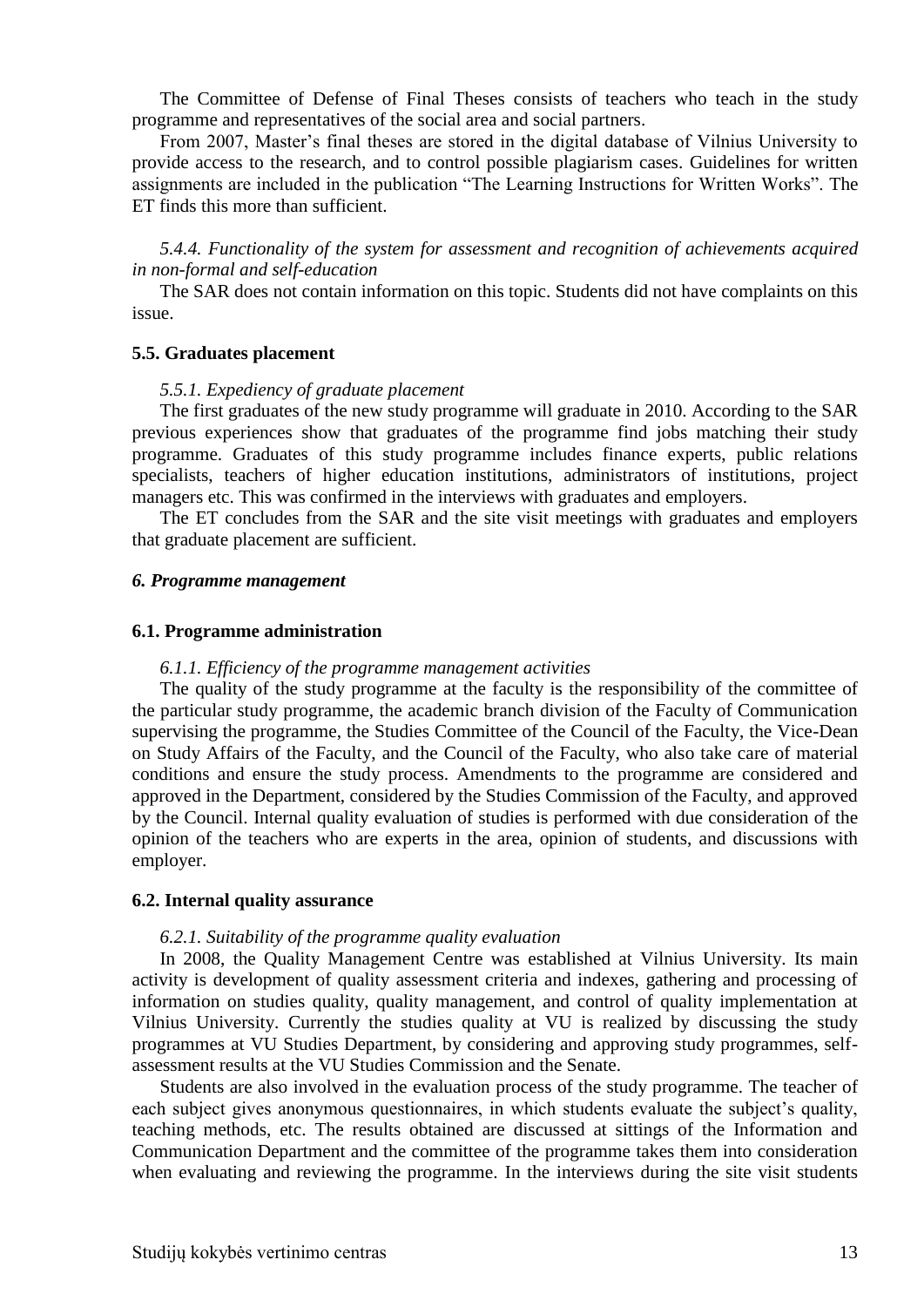The Committee of Defense of Final Theses consists of teachers who teach in the study programme and representatives of the social area and social partners.

From 2007, Master's final theses are stored in the digital database of Vilnius University to provide access to the research, and to control possible plagiarism cases. Guidelines for written assignments are included in the publication "The Learning Instructions for Written Works". The ET finds this more than sufficient.

*5.4.4. Functionality of the system for assessment and recognition of achievements acquired in non-formal and self-education*

The SAR does not contain information on this topic. Students did not have complaints on this issue.

#### <span id="page-12-0"></span>**5.5. Graduates placement**

#### *5.5.1. Expediency of graduate placement*

The first graduates of the new study programme will graduate in 2010. According to the SAR previous experiences show that graduates of the programme find jobs matching their study programme. Graduates of this study programme includes finance experts, public relations specialists, teachers of higher education institutions, administrators of institutions, project managers etc. This was confirmed in the interviews with graduates and employers.

The ET concludes from the SAR and the site visit meetings with graduates and employers that graduate placement are sufficient.

#### <span id="page-12-1"></span>*6. Programme management*

#### <span id="page-12-2"></span>**6.1. Programme administration**

#### *6.1.1. Efficiency of the programme management activities*

The quality of the study programme at the faculty is the responsibility of the committee of the particular study programme, the academic branch division of the Faculty of Communication supervising the programme, the Studies Committee of the Council of the Faculty, the Vice-Dean on Study Affairs of the Faculty, and the Council of the Faculty, who also take care of material conditions and ensure the study process. Amendments to the programme are considered and approved in the Department, considered by the Studies Commission of the Faculty, and approved by the Council. Internal quality evaluation of studies is performed with due consideration of the opinion of the teachers who are experts in the area, opinion of students, and discussions with employer.

#### <span id="page-12-3"></span>**6.2. Internal quality assurance**

#### *6.2.1. Suitability of the programme quality evaluation*

In 2008, the Quality Management Centre was established at Vilnius University. Its main activity is development of quality assessment criteria and indexes, gathering and processing of information on studies quality, quality management, and control of quality implementation at Vilnius University. Currently the studies quality at VU is realized by discussing the study programmes at VU Studies Department, by considering and approving study programmes, selfassessment results at the VU Studies Commission and the Senate.

Students are also involved in the evaluation process of the study programme. The teacher of each subject gives anonymous questionnaires, in which students evaluate the subject's quality, teaching methods, etc. The results obtained are discussed at sittings of the Information and Communication Department and the committee of the programme takes them into consideration when evaluating and reviewing the programme. In the interviews during the site visit students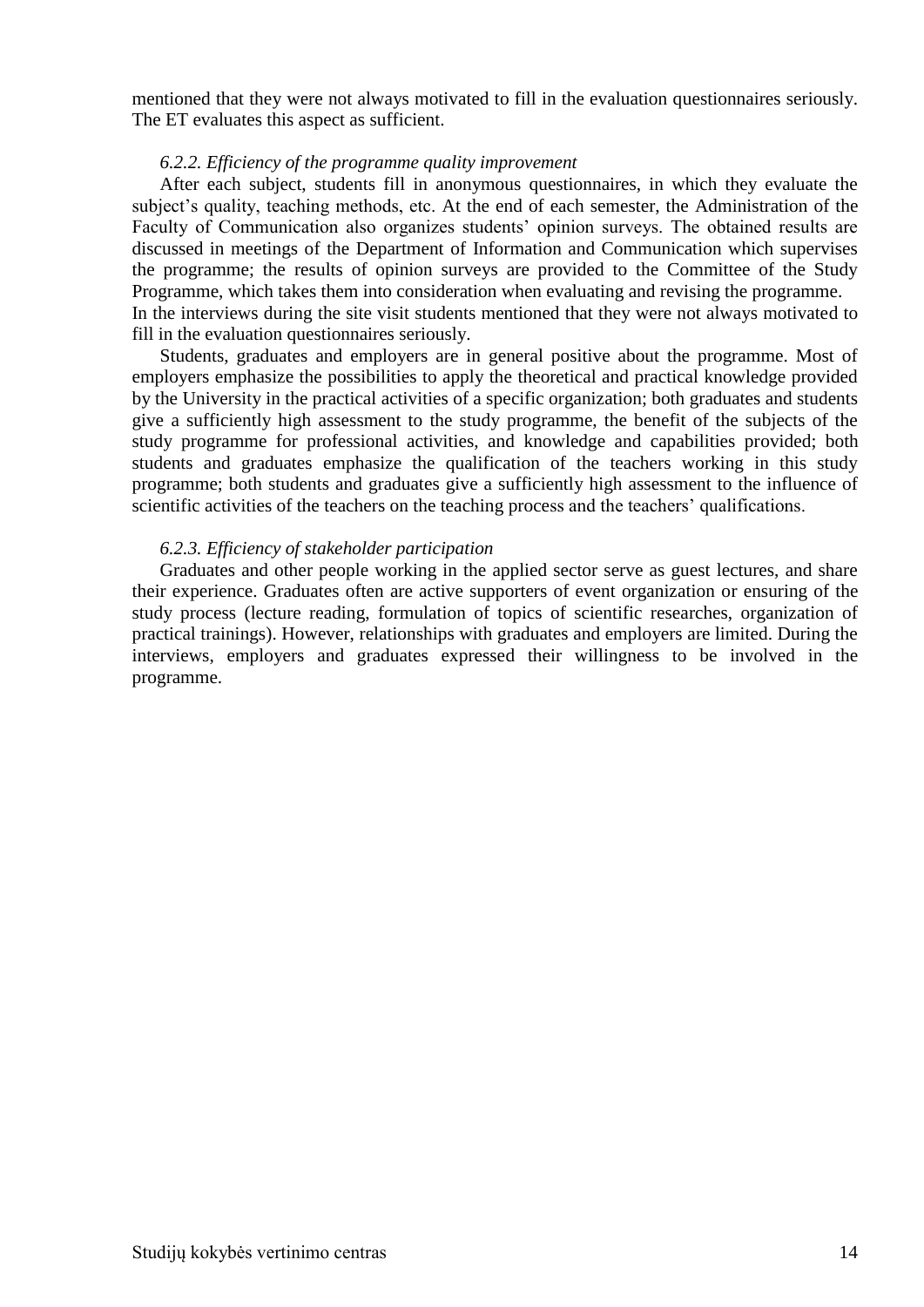mentioned that they were not always motivated to fill in the evaluation questionnaires seriously. The ET evaluates this aspect as sufficient.

#### *6.2.2. Efficiency of the programme quality improvement*

After each subject, students fill in anonymous questionnaires, in which they evaluate the subject's quality, teaching methods, etc. At the end of each semester, the Administration of the Faculty of Communication also organizes students' opinion surveys. The obtained results are discussed in meetings of the Department of Information and Communication which supervises the programme; the results of opinion surveys are provided to the Committee of the Study Programme, which takes them into consideration when evaluating and revising the programme. In the interviews during the site visit students mentioned that they were not always motivated to fill in the evaluation questionnaires seriously.

Students, graduates and employers are in general positive about the programme. Most of employers emphasize the possibilities to apply the theoretical and practical knowledge provided by the University in the practical activities of a specific organization; both graduates and students give a sufficiently high assessment to the study programme, the benefit of the subjects of the study programme for professional activities, and knowledge and capabilities provided; both students and graduates emphasize the qualification of the teachers working in this study programme; both students and graduates give a sufficiently high assessment to the influence of scientific activities of the teachers on the teaching process and the teachers' qualifications.

#### *6.2.3. Efficiency of stakeholder participation*

Graduates and other people working in the applied sector serve as guest lectures, and share their experience. Graduates often are active supporters of event organization or ensuring of the study process (lecture reading, formulation of topics of scientific researches, organization of practical trainings). However, relationships with graduates and employers are limited. During the interviews, employers and graduates expressed their willingness to be involved in the programme.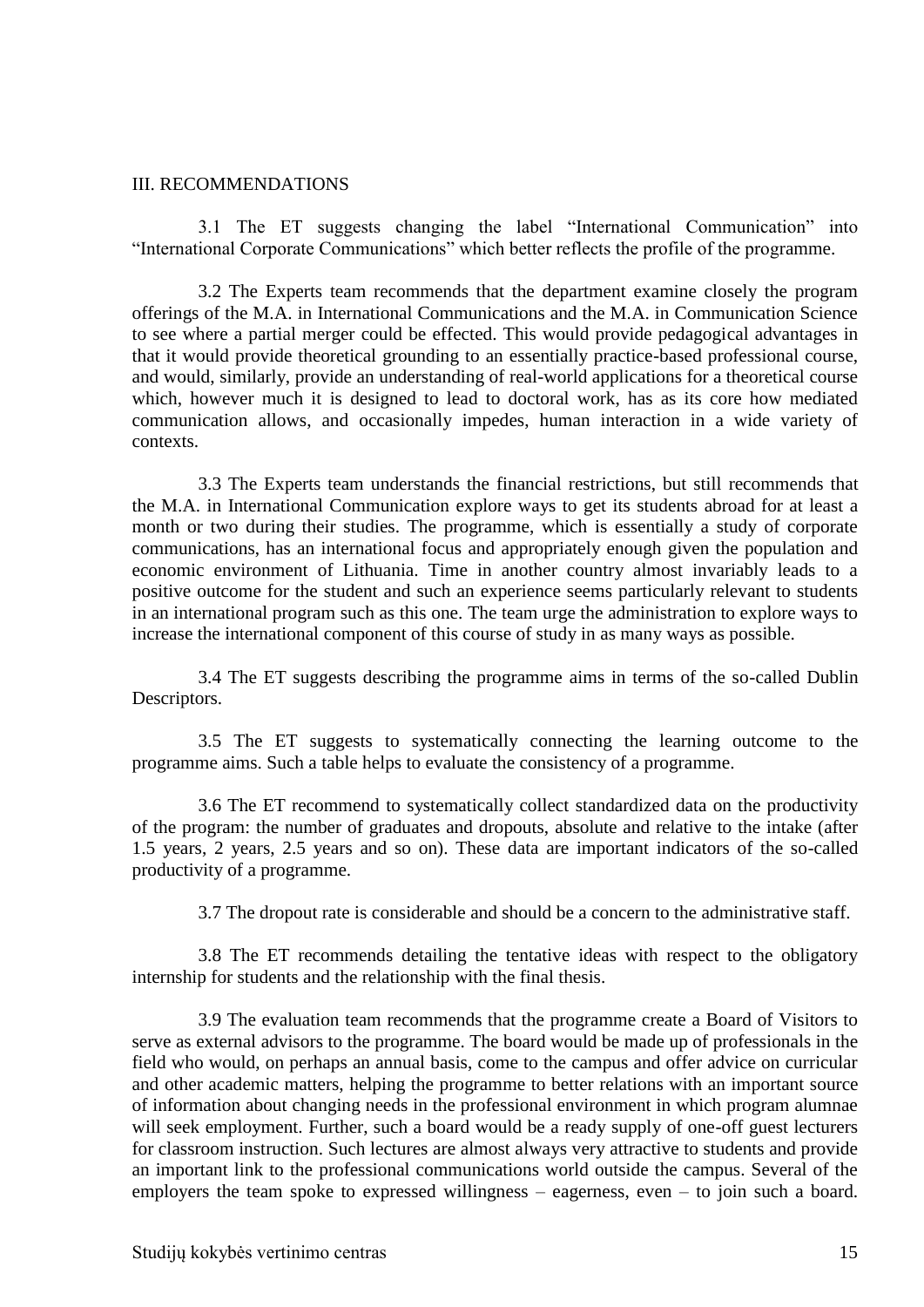#### <span id="page-14-0"></span>III. RECOMMENDATIONS

3.1 The ET suggests changing the label "International Communication" into "International Corporate Communications" which better reflects the profile of the programme.

3.2 The Experts team recommends that the department examine closely the program offerings of the M.A. in International Communications and the M.A. in Communication Science to see where a partial merger could be effected. This would provide pedagogical advantages in that it would provide theoretical grounding to an essentially practice-based professional course, and would, similarly, provide an understanding of real-world applications for a theoretical course which, however much it is designed to lead to doctoral work, has as its core how mediated communication allows, and occasionally impedes, human interaction in a wide variety of contexts.

3.3 The Experts team understands the financial restrictions, but still recommends that the M.A. in International Communication explore ways to get its students abroad for at least a month or two during their studies. The programme, which is essentially a study of corporate communications, has an international focus and appropriately enough given the population and economic environment of Lithuania. Time in another country almost invariably leads to a positive outcome for the student and such an experience seems particularly relevant to students in an international program such as this one. The team urge the administration to explore ways to increase the international component of this course of study in as many ways as possible.

3.4 The ET suggests describing the programme aims in terms of the so-called Dublin Descriptors.

3.5 The ET suggests to systematically connecting the learning outcome to the programme aims. Such a table helps to evaluate the consistency of a programme.

3.6 The ET recommend to systematically collect standardized data on the productivity of the program: the number of graduates and dropouts, absolute and relative to the intake (after 1.5 years, 2 years, 2.5 years and so on). These data are important indicators of the so-called productivity of a programme.

3.7 The dropout rate is considerable and should be a concern to the administrative staff.

3.8 The ET recommends detailing the tentative ideas with respect to the obligatory internship for students and the relationship with the final thesis.

3.9 The evaluation team recommends that the programme create a Board of Visitors to serve as external advisors to the programme. The board would be made up of professionals in the field who would, on perhaps an annual basis, come to the campus and offer advice on curricular and other academic matters, helping the programme to better relations with an important source of information about changing needs in the professional environment in which program alumnae will seek employment. Further, such a board would be a ready supply of one-off guest lecturers for classroom instruction. Such lectures are almost always very attractive to students and provide an important link to the professional communications world outside the campus. Several of the employers the team spoke to expressed willingness – eagerness, even – to join such a board.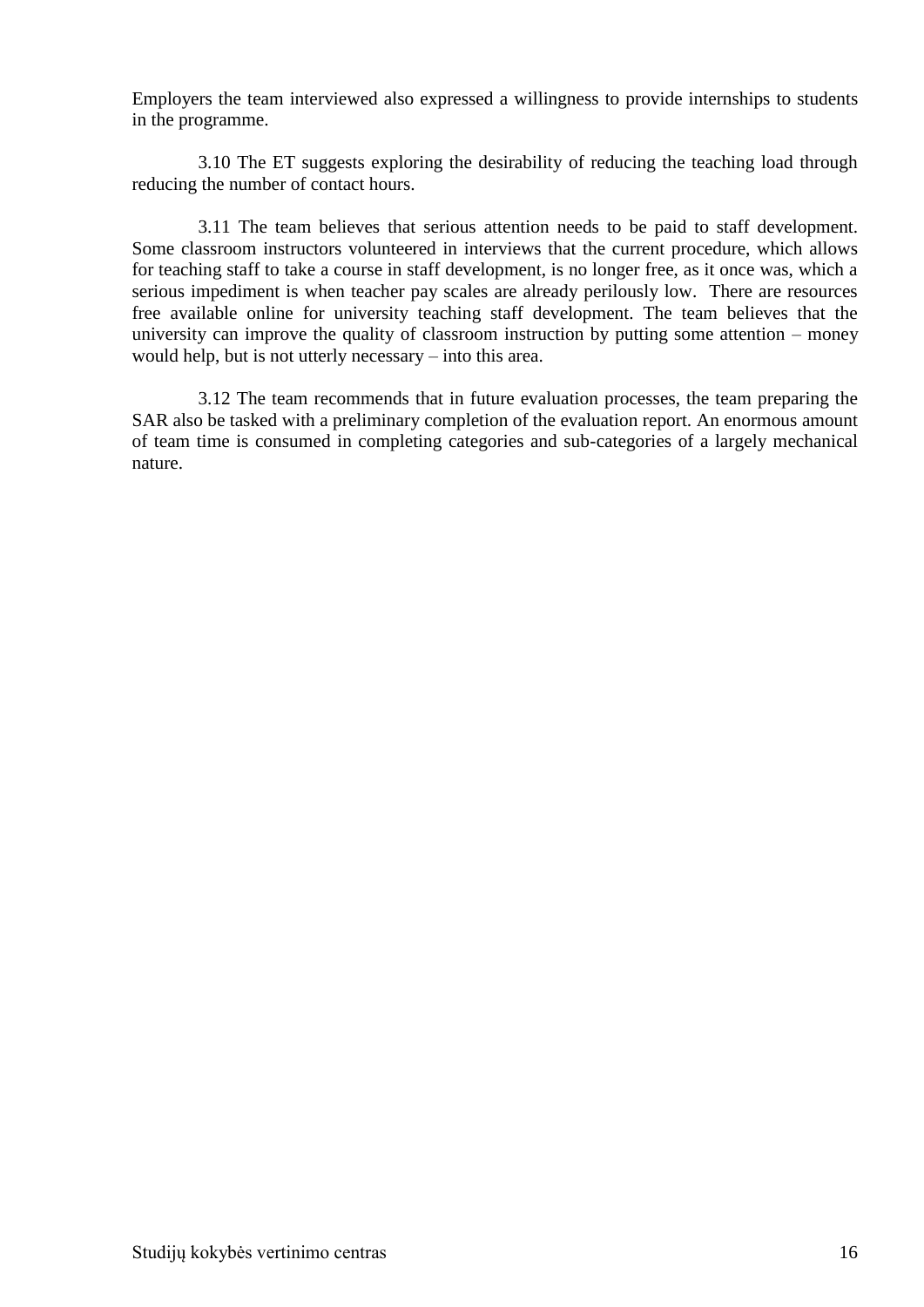Employers the team interviewed also expressed a willingness to provide internships to students in the programme.

3.10 The ET suggests exploring the desirability of reducing the teaching load through reducing the number of contact hours.

3.11 The team believes that serious attention needs to be paid to staff development. Some classroom instructors volunteered in interviews that the current procedure, which allows for teaching staff to take a course in staff development, is no longer free, as it once was, which a serious impediment is when teacher pay scales are already perilously low. There are resources free available online for university teaching staff development. The team believes that the university can improve the quality of classroom instruction by putting some attention – money would help, but is not utterly necessary – into this area.

3.12 The team recommends that in future evaluation processes, the team preparing the SAR also be tasked with a preliminary completion of the evaluation report. An enormous amount of team time is consumed in completing categories and sub-categories of a largely mechanical nature.